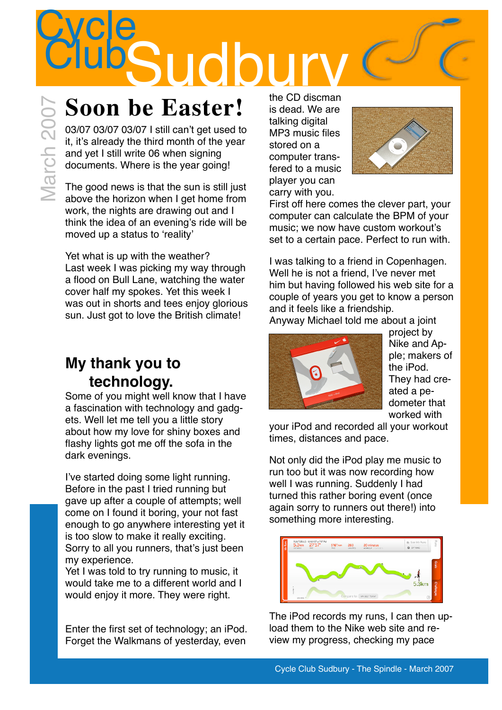the CD discman is dead. We are

> talking digital MP3 music files stored on a computer transfered to a music player you can carry with you.

First off here comes the clever part, your computer can calculate the BPM of your music; we now have custom workout's set to a certain pace. Perfect to run with.

I was talking to a friend in Copenhagen. Well he is not a friend, I've never met him but having followed his web site for a couple of years you get to know a person and it feels like a friendship.

Anyway Michael told me about a joint



project by Nike and Apple; makers of the iPod. They had created a pedometer that worked with

your iPod and recorded all your workout times, distances and pace.

Not only did the iPod play me music to run too but it was now recording how well I was running. Suddenly I had turned this rather boring event (once again sorry to runners out there!) into something more interesting.



The iPod records my runs, I can then upload them to the Nike web site and review my progress, checking my pace

**Cycle** 

### **Soon be Easter!**

Soon be Easter!<br>Soon be Easter!<br>
03/07 03/07 03/07 1 still can't get used to<br>
it, it's already the third month of the year<br>
and yet I still write 06 when signing<br>
The good news is that the sun is still just<br>
The good news 03/07 03/07 03/07 I still can't get used to it, it's already the third month of the year and yet I still write 06 when signing documents. Where is the year going!

The good news is that the sun is still just above the horizon when I get home from work, the nights are drawing out and I think the idea of an evening's ride will be moved up a status to 'reality'

Yet what is up with the weather? Last week I was picking my way through a flood on Bull Lane, watching the water cover half my spokes. Yet this week I was out in shorts and tees enjoy glorious sun. Just got to love the British climate!

#### **My thank you to technology.**

Some of you might well know that I have a fascination with technology and gadgets. Well let me tell you a little story about how my love for shiny boxes and flashy lights got me off the sofa in the dark evenings.

I've started doing some light running. Before in the past I tried running but gave up after a couple of attempts; well come on I found it boring, your not fast enough to go anywhere interesting yet it is too slow to make it really exciting. Sorry to all you runners, that's just been my experience.

Yet I was told to try running to music, it would take me to a different world and I would enjoy it more. They were right.

Enter the first set of technology; an iPod. Forget the Walkmans of yesterday, even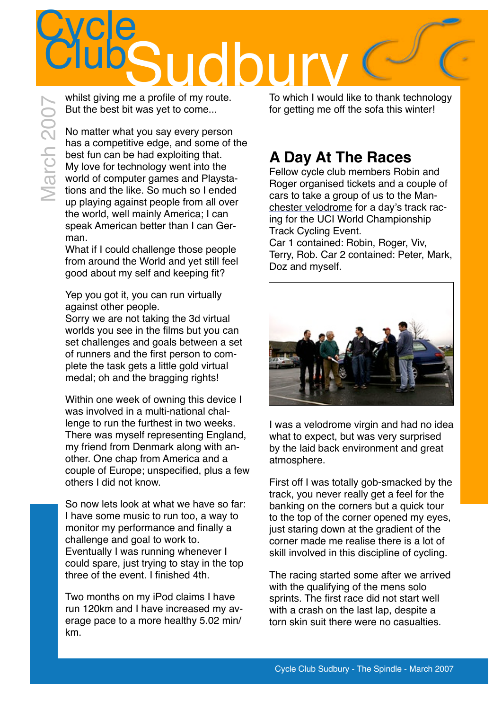# Cycle<br>Club Sudbury<br>me a profile of my route

whilst giving me a profile of my route. But the best bit was yet to come...

No matter what you say every person has a competitive edge, and some of the best fun can be had exploiting that. My love for technology went into the world of computer games and Playstations and the like. So much so I ended up playing against people from all over the world, well mainly America; I can speak American better than I can German.

What if I could challenge those people from around the World and yet still feel good about my self and keeping fit?

Yep you got it, you can run virtually against other people. Sorry we are not taking the 3d virtual worlds you see in the films but you can set challenges and goals between a set of runners and the first person to complete the task gets a little gold virtual medal; oh and the bragging rights!

Within one week of owning this device I was involved in a multi-national challenge to run the furthest in two weeks. There was myself representing England, my friend from Denmark along with another. One chap from America and a couple of Europe; unspecified, plus a few others I did not know.

So now lets look at what we have so far: I have some music to run too, a way to monitor my performance and finally a challenge and goal to work to. Eventually I was running whenever I could spare, just trying to stay in the top three of the event. I finished 4th.

Two months on my iPod claims I have run 120km and I have increased my average pace to a more healthy 5.02 min/ km.

To which I would like to thank technology for getting me off the sofa this winter!

### **A Day At The Races**

Fellow cycle club members Robin and Roger organised tickets and a couple of cars to take a group of us to the [Man](http://www.manchestervelodrome.com/)[chester velodrome](http://www.manchestervelodrome.com/) for a day's track racing for the UCI World Championship Track Cycling Event.

Car 1 contained: Robin, Roger, Viv, Terry, Rob. Car 2 contained: Peter, Mark, Doz and myself.



I was a velodrome virgin and had no idea what to expect, but was very surprised by the laid back environment and great atmosphere.

First off I was totally gob-smacked by the track, you never really get a feel for the banking on the corners but a quick tour to the top of the corner opened my eyes, just staring down at the gradient of the corner made me realise there is a lot of skill involved in this discipline of cycling.

The racing started some after we arrived with the qualifying of the mens solo sprints. The first race did not start well with a crash on the last lap, despite a torn skin suit there were no casualties.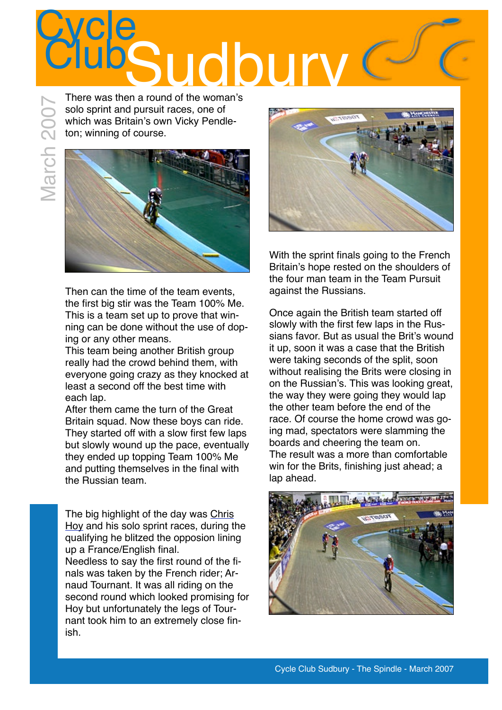## Cycle<br>Club udbur

There was then a round of the woman's solo sprint and pursuit races, one of which was Britain's own Vicky Pendleton; winning of course.





Then can the time of the team events, the first big stir was the Team 100% Me. This is a team set up to prove that winning can be done without the use of doping or any other means.

This team being another British group really had the crowd behind them, with everyone going crazy as they knocked at least a second off the best time with each lap.

After them came the turn of the Great Britain squad. Now these boys can ride. They started off with a slow first few laps but slowly wound up the pace, eventually they ended up topping Team 100% Me and putting themselves in the final with the Russian team.

The big highlight of the day was [Chris](http://en.wikipedia.org/wiki/Chris_Hoy)  [Hoy](http://en.wikipedia.org/wiki/Chris_Hoy) and his solo sprint races, during the qualifying he blitzed the opposion lining up a France/English final. Needless to say the first round of the finals was taken by the French rider; Arnaud Tournant. It was all riding on the second round which looked promising for Hoy but unfortunately the legs of Tournant took him to an extremely close finish.



With the sprint finals going to the French Britain's hope rested on the shoulders of the four man team in the Team Pursuit against the Russians.

Once again the British team started off slowly with the first few laps in the Russians favor. But as usual the Brit's wound it up, soon it was a case that the British were taking seconds of the split, soon without realising the Brits were closing in on the Russian's. This was looking great, the way they were going they would lap the other team before the end of the race. Of course the home crowd was going mad, spectators were slamming the boards and cheering the team on. The result was a more than comfortable win for the Brits, finishing just ahead; a lap ahead.